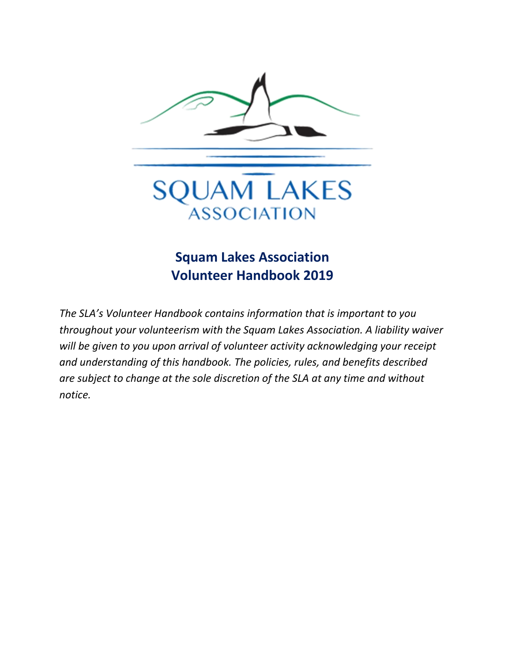

## **Squam Lakes Association Volunteer Handbook 2019**

*The SLA's Volunteer Handbook contains information that is important to you throughout your volunteerism with the Squam Lakes Association. A liability waiver will be given to you upon arrival of volunteer activity acknowledging your receipt and understanding of this handbook. The policies, rules, and benefits described are subject to change at the sole discretion of the SLA at any time and without notice.*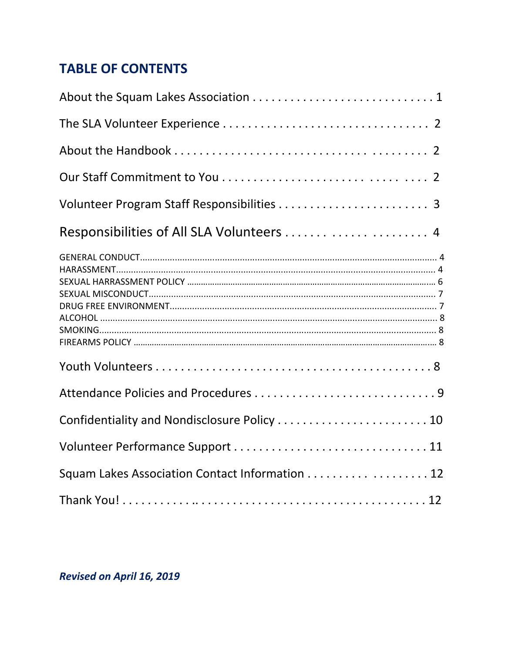# **TABLE OF CONTENTS**

| Responsibilities of All SLA Volunteers  4      |  |
|------------------------------------------------|--|
|                                                |  |
|                                                |  |
|                                                |  |
| Confidentiality and Nondisclosure Policy  10   |  |
|                                                |  |
| Squam Lakes Association Contact Information 12 |  |
|                                                |  |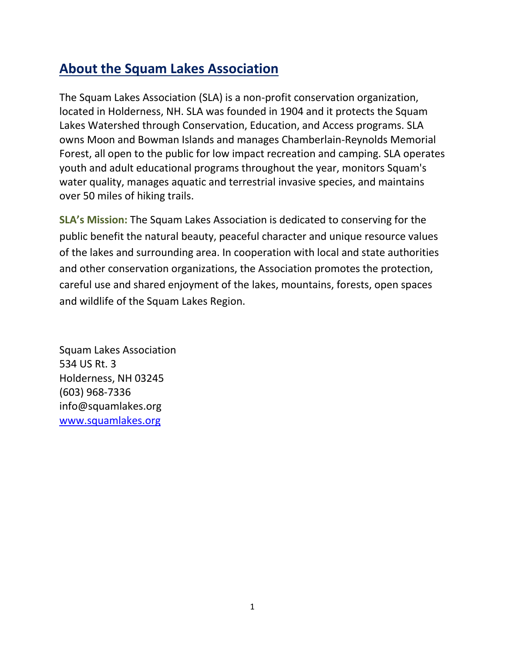## **About the Squam Lakes Association**

The Squam Lakes Association (SLA) is a non-profit conservation organization, located in Holderness, NH. SLA was founded in 1904 and it protects the Squam Lakes Watershed through Conservation, Education, and Access programs. SLA owns Moon and Bowman Islands and manages Chamberlain-Reynolds Memorial Forest, all open to the public for low impact recreation and camping. SLA operates youth and adult educational programs throughout the year, monitors Squam's water quality, manages aquatic and terrestrial invasive species, and maintains over 50 miles of hiking trails.

**SLA's Mission:** The Squam Lakes Association is dedicated to conserving for the public benefit the natural beauty, peaceful character and unique resource values of the lakes and surrounding area. In cooperation with local and state authorities and other conservation organizations, the Association promotes the protection, careful use and shared enjoyment of the lakes, mountains, forests, open spaces and wildlife of the Squam Lakes Region.

Squam Lakes Association 534 US Rt. 3 Holderness, NH 03245 (603) 968-7336 info@squamlakes.org [www.squamlakes.org](http://www.squamlakes.org/)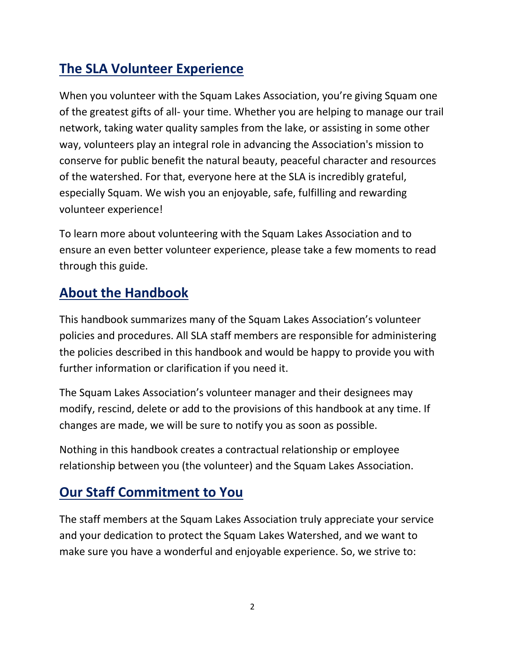# **The SLA Volunteer Experience**

When you volunteer with the Squam Lakes Association, you're giving Squam one of the greatest gifts of all- your time. Whether you are helping to manage our trail network, taking water quality samples from the lake, or assisting in some other way, volunteers play an integral role in advancing the Association's mission to conserve for public benefit the natural beauty, peaceful character and resources of the watershed. For that, everyone here at the SLA is incredibly grateful, especially Squam. We wish you an enjoyable, safe, fulfilling and rewarding volunteer experience!

To learn more about volunteering with the Squam Lakes Association and to ensure an even better volunteer experience, please take a few moments to read through this guide.

## **About the Handbook**

This handbook summarizes many of the Squam Lakes Association's volunteer policies and procedures. All SLA staff members are responsible for administering the policies described in this handbook and would be happy to provide you with further information or clarification if you need it.

The Squam Lakes Association's volunteer manager and their designees may modify, rescind, delete or add to the provisions of this handbook at any time. If changes are made, we will be sure to notify you as soon as possible.

Nothing in this handbook creates a contractual relationship or employee relationship between you (the volunteer) and the Squam Lakes Association.

## **Our Staff Commitment to You**

The staff members at the Squam Lakes Association truly appreciate your service and your dedication to protect the Squam Lakes Watershed, and we want to make sure you have a wonderful and enjoyable experience. So, we strive to: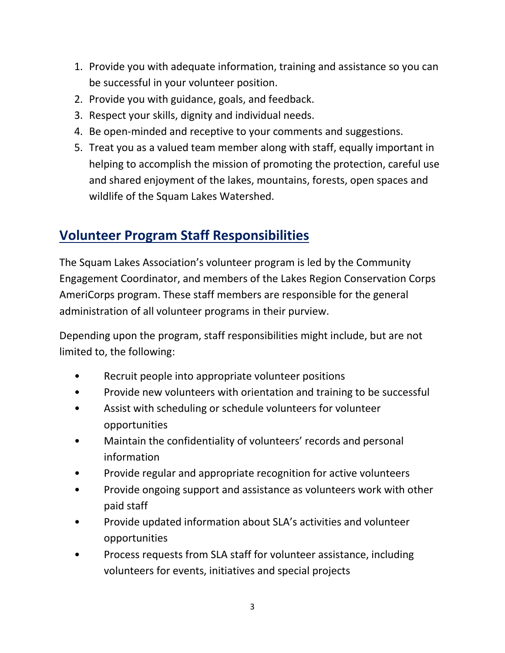- 1. Provide you with adequate information, training and assistance so you can be successful in your volunteer position.
- 2. Provide you with guidance, goals, and feedback.
- 3. Respect your skills, dignity and individual needs.
- 4. Be open-minded and receptive to your comments and suggestions.
- 5. Treat you as a valued team member along with staff, equally important in helping to accomplish the mission of promoting the protection, careful use and shared enjoyment of the lakes, mountains, forests, open spaces and wildlife of the Squam Lakes Watershed.

## **Volunteer Program Staff Responsibilities**

The Squam Lakes Association's volunteer program is led by the Community Engagement Coordinator, and members of the Lakes Region Conservation Corps AmeriCorps program. These staff members are responsible for the general administration of all volunteer programs in their purview.

Depending upon the program, staff responsibilities might include, but are not limited to, the following:

- Recruit people into appropriate volunteer positions
- Provide new volunteers with orientation and training to be successful
- Assist with scheduling or schedule volunteers for volunteer opportunities
- Maintain the confidentiality of volunteers' records and personal information
- Provide regular and appropriate recognition for active volunteers
- Provide ongoing support and assistance as volunteers work with other paid staff
- Provide updated information about SLA's activities and volunteer opportunities
- Process requests from SLA staff for volunteer assistance, including volunteers for events, initiatives and special projects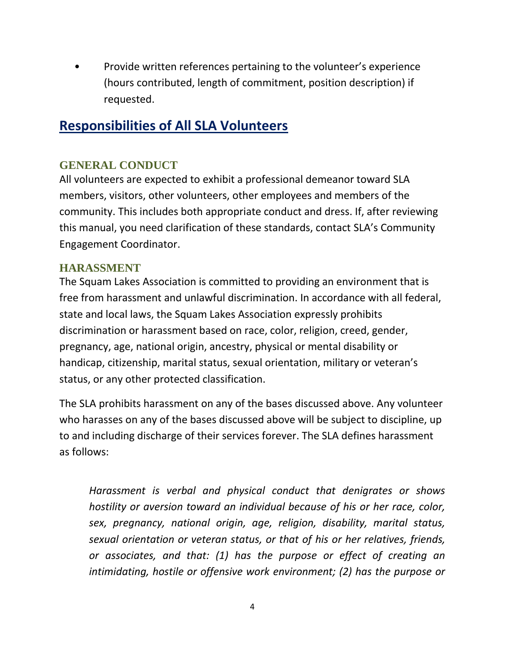• Provide written references pertaining to the volunteer's experience (hours contributed, length of commitment, position description) if requested.

### **Responsibilities of All SLA Volunteers**

#### **GENERAL CONDUCT**

All volunteers are expected to exhibit a professional demeanor toward SLA members, visitors, other volunteers, other employees and members of the community. This includes both appropriate conduct and dress. If, after reviewing this manual, you need clarification of these standards, contact SLA's Community Engagement Coordinator.

#### **HARASSMENT**

The Squam Lakes Association is committed to providing an environment that is free from harassment and unlawful discrimination. In accordance with all federal, state and local laws, the Squam Lakes Association expressly prohibits discrimination or harassment based on race, color, religion, creed, gender, pregnancy, age, national origin, ancestry, physical or mental disability or handicap, citizenship, marital status, sexual orientation, military or veteran's status, or any other protected classification.

The SLA prohibits harassment on any of the bases discussed above. Any volunteer who harasses on any of the bases discussed above will be subject to discipline, up to and including discharge of their services forever. The SLA defines harassment as follows:

*Harassment is verbal and physical conduct that denigrates or shows hostility or aversion toward an individual because of his or her race, color, sex, pregnancy, national origin, age, religion, disability, marital status, sexual orientation or veteran status, or that of his or her relatives, friends, or associates, and that: (1) has the purpose or effect of creating an intimidating, hostile or offensive work environment; (2) has the purpose or*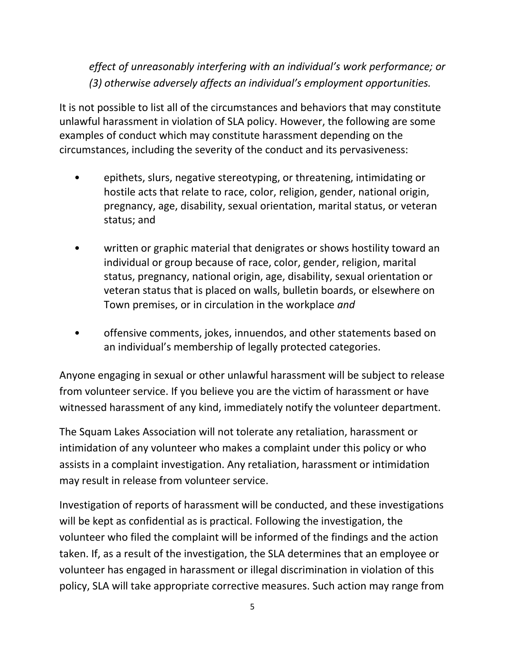*effect of unreasonably interfering with an individual's work performance; or (3) otherwise adversely affects an individual's employment opportunities.*

It is not possible to list all of the circumstances and behaviors that may constitute unlawful harassment in violation of SLA policy. However, the following are some examples of conduct which may constitute harassment depending on the circumstances, including the severity of the conduct and its pervasiveness:

- epithets, slurs, negative stereotyping, or threatening, intimidating or hostile acts that relate to race, color, religion, gender, national origin, pregnancy, age, disability, sexual orientation, marital status, or veteran status; and
- written or graphic material that denigrates or shows hostility toward an individual or group because of race, color, gender, religion, marital status, pregnancy, national origin, age, disability, sexual orientation or veteran status that is placed on walls, bulletin boards, or elsewhere on Town premises, or in circulation in the workplace *and*
- offensive comments, jokes, innuendos, and other statements based on an individual's membership of legally protected categories.

Anyone engaging in sexual or other unlawful harassment will be subject to release from volunteer service. If you believe you are the victim of harassment or have witnessed harassment of any kind, immediately notify the volunteer department.

The Squam Lakes Association will not tolerate any retaliation, harassment or intimidation of any volunteer who makes a complaint under this policy or who assists in a complaint investigation. Any retaliation, harassment or intimidation may result in release from volunteer service.

Investigation of reports of harassment will be conducted, and these investigations will be kept as confidential as is practical. Following the investigation, the volunteer who filed the complaint will be informed of the findings and the action taken. If, as a result of the investigation, the SLA determines that an employee or volunteer has engaged in harassment or illegal discrimination in violation of this policy, SLA will take appropriate corrective measures. Such action may range from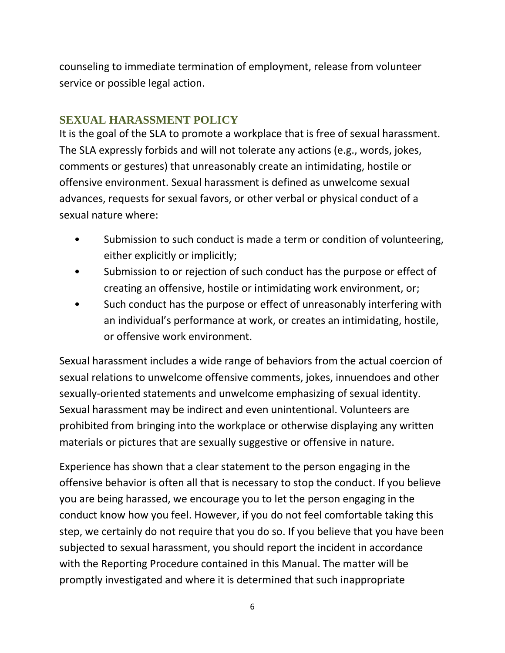counseling to immediate termination of employment, release from volunteer service or possible legal action.

### **SEXUAL HARASSMENT POLICY**

It is the goal of the SLA to promote a workplace that is free of sexual harassment. The SLA expressly forbids and will not tolerate any actions (e.g., words, jokes, comments or gestures) that unreasonably create an intimidating, hostile or offensive environment. Sexual harassment is defined as unwelcome sexual advances, requests for sexual favors, or other verbal or physical conduct of a sexual nature where:

- Submission to such conduct is made a term or condition of volunteering, either explicitly or implicitly;
- Submission to or rejection of such conduct has the purpose or effect of creating an offensive, hostile or intimidating work environment, or;
- Such conduct has the purpose or effect of unreasonably interfering with an individual's performance at work, or creates an intimidating, hostile, or offensive work environment.

Sexual harassment includes a wide range of behaviors from the actual coercion of sexual relations to unwelcome offensive comments, jokes, innuendoes and other sexually-oriented statements and unwelcome emphasizing of sexual identity. Sexual harassment may be indirect and even unintentional. Volunteers are prohibited from bringing into the workplace or otherwise displaying any written materials or pictures that are sexually suggestive or offensive in nature.

Experience has shown that a clear statement to the person engaging in the offensive behavior is often all that is necessary to stop the conduct. If you believe you are being harassed, we encourage you to let the person engaging in the conduct know how you feel. However, if you do not feel comfortable taking this step, we certainly do not require that you do so. If you believe that you have been subjected to sexual harassment, you should report the incident in accordance with the Reporting Procedure contained in this Manual. The matter will be promptly investigated and where it is determined that such inappropriate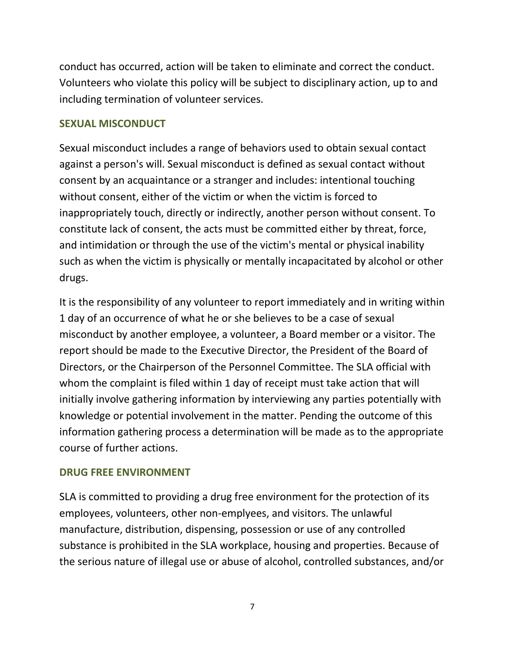conduct has occurred, action will be taken to eliminate and correct the conduct. Volunteers who violate this policy will be subject to disciplinary action, up to and including termination of volunteer services.

#### **SEXUAL MISCONDUCT**

Sexual misconduct includes a range of behaviors used to obtain sexual contact against a person's will. Sexual misconduct is defined as sexual contact without consent by an acquaintance or a stranger and includes: intentional touching without consent, either of the victim or when the victim is forced to inappropriately touch, directly or indirectly, another person without consent. To constitute lack of consent, the acts must be committed either by threat, force, and intimidation or through the use of the victim's mental or physical inability such as when the victim is physically or mentally incapacitated by alcohol or other drugs.

It is the responsibility of any volunteer to report immediately and in writing within 1 day of an occurrence of what he or she believes to be a case of sexual misconduct by another employee, a volunteer, a Board member or a visitor. The report should be made to the Executive Director, the President of the Board of Directors, or the Chairperson of the Personnel Committee. The SLA official with whom the complaint is filed within 1 day of receipt must take action that will initially involve gathering information by interviewing any parties potentially with knowledge or potential involvement in the matter. Pending the outcome of this information gathering process a determination will be made as to the appropriate course of further actions.

#### **DRUG FREE ENVIRONMENT**

SLA is committed to providing a drug free environment for the protection of its employees, volunteers, other non-emplyees, and visitors. The unlawful manufacture, distribution, dispensing, possession or use of any controlled substance is prohibited in the SLA workplace, housing and properties. Because of the serious nature of illegal use or abuse of alcohol, controlled substances, and/or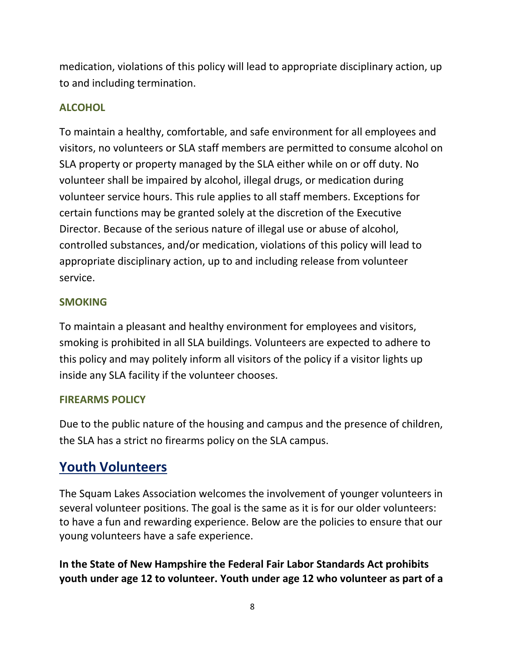medication, violations of this policy will lead to appropriate disciplinary action, up to and including termination.

#### **ALCOHOL**

To maintain a healthy, comfortable, and safe environment for all employees and visitors, no volunteers or SLA staff members are permitted to consume alcohol on SLA property or property managed by the SLA either while on or off duty. No volunteer shall be impaired by alcohol, illegal drugs, or medication during volunteer service hours. This rule applies to all staff members. Exceptions for certain functions may be granted solely at the discretion of the Executive Director. Because of the serious nature of illegal use or abuse of alcohol, controlled substances, and/or medication, violations of this policy will lead to appropriate disciplinary action, up to and including release from volunteer service.

#### **SMOKING**

To maintain a pleasant and healthy environment for employees and visitors, smoking is prohibited in all SLA buildings. Volunteers are expected to adhere to this policy and may politely inform all visitors of the policy if a visitor lights up inside any SLA facility if the volunteer chooses.

#### **FIREARMS POLICY**

Due to the public nature of the housing and campus and the presence of children, the SLA has a strict no firearms policy on the SLA campus.

## **Youth Volunteers**

The Squam Lakes Association welcomes the involvement of younger volunteers in several volunteer positions. The goal is the same as it is for our older volunteers: to have a fun and rewarding experience. Below are the policies to ensure that our young volunteers have a safe experience.

**In the State of New Hampshire the Federal Fair Labor Standards Act prohibits youth under age 12 to volunteer. Youth under age 12 who volunteer as part of a**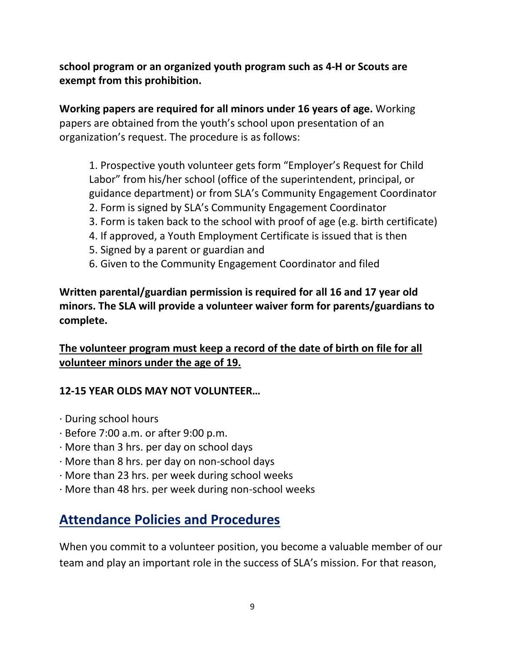**school program or an organized youth program such as 4-H or Scouts are exempt from this prohibition.**

**Working papers are required for all minors under 16 years of age.** Working papers are obtained from the youth's school upon presentation of an organization's request. The procedure is as follows:

1. Prospective youth volunteer gets form "Employer's Request for Child Labor" from his/her school (office of the superintendent, principal, or guidance department) or from SLA's Community Engagement Coordinator

- 2. Form is signed by SLA's Community Engagement Coordinator
- 3. Form is taken back to the school with proof of age (e.g. birth certificate)
- 4. If approved, a Youth Employment Certificate is issued that is then
- 5. Signed by a parent or guardian and
- 6. Given to the Community Engagement Coordinator and filed

**Written parental/guardian permission is required for all 16 and 17 year old minors. The SLA will provide a volunteer waiver form for parents/guardians to complete.**

#### **The volunteer program must keep a record of the date of birth on file for all volunteer minors under the age of 19.**

#### **12-15 YEAR OLDS MAY NOT VOLUNTEER…**

- · During school hours
- · Before 7:00 a.m. or after 9:00 p.m.
- · More than 3 hrs. per day on school days
- · More than 8 hrs. per day on non-school days
- · More than 23 hrs. per week during school weeks
- · More than 48 hrs. per week during non-school weeks

## **Attendance Policies and Procedures**

When you commit to a volunteer position, you become a valuable member of our team and play an important role in the success of SLA's mission. For that reason,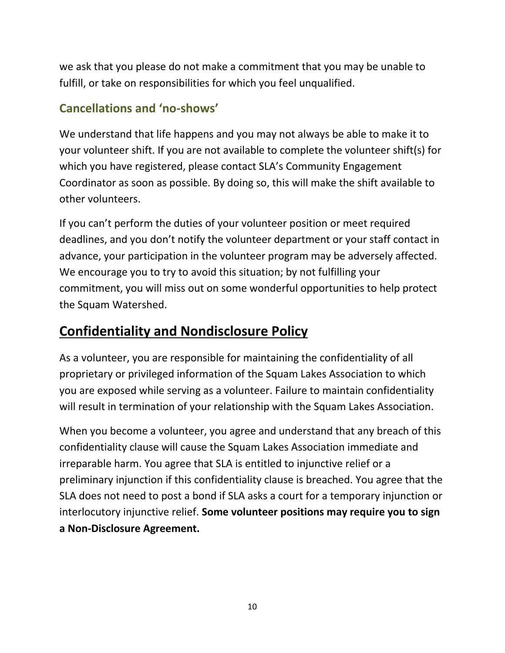we ask that you please do not make a commitment that you may be unable to fulfill, or take on responsibilities for which you feel unqualified.

### **Cancellations and 'no-shows'**

We understand that life happens and you may not always be able to make it to your volunteer shift. If you are not available to complete the volunteer shift(s) for which you have registered, please contact SLA's Community Engagement Coordinator as soon as possible. By doing so, this will make the shift available to other volunteers.

If you can't perform the duties of your volunteer position or meet required deadlines, and you don't notify the volunteer department or your staff contact in advance, your participation in the volunteer program may be adversely affected. We encourage you to try to avoid this situation; by not fulfilling your commitment, you will miss out on some wonderful opportunities to help protect the Squam Watershed.

# **Confidentiality and Nondisclosure Policy**

As a volunteer, you are responsible for maintaining the confidentiality of all proprietary or privileged information of the Squam Lakes Association to which you are exposed while serving as a volunteer. Failure to maintain confidentiality will result in termination of your relationship with the Squam Lakes Association.

When you become a volunteer, you agree and understand that any breach of this confidentiality clause will cause the Squam Lakes Association immediate and irreparable harm. You agree that SLA is entitled to injunctive relief or a preliminary injunction if this confidentiality clause is breached. You agree that the SLA does not need to post a bond if SLA asks a court for a temporary injunction or interlocutory injunctive relief. **Some volunteer positions may require you to sign a Non-Disclosure Agreement.**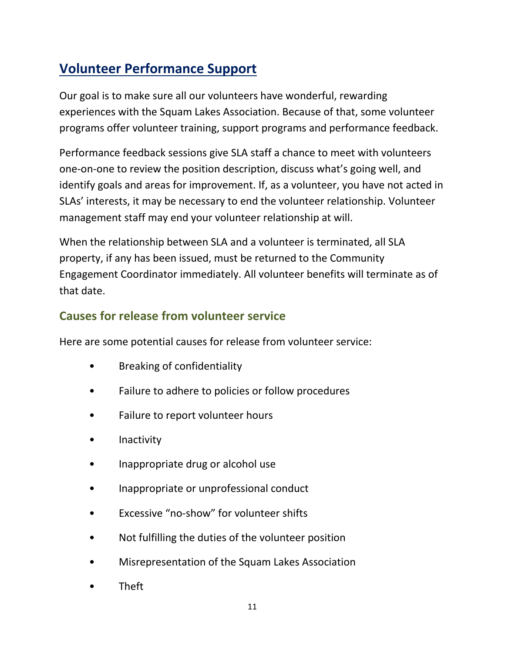# **Volunteer Performance Support**

Our goal is to make sure all our volunteers have wonderful, rewarding experiences with the Squam Lakes Association. Because of that, some volunteer programs offer volunteer training, support programs and performance feedback.

Performance feedback sessions give SLA staff a chance to meet with volunteers one-on-one to review the position description, discuss what's going well, and identify goals and areas for improvement. If, as a volunteer, you have not acted in SLAs' interests, it may be necessary to end the volunteer relationship. Volunteer management staff may end your volunteer relationship at will.

When the relationship between SLA and a volunteer is terminated, all SLA property, if any has been issued, must be returned to the Community Engagement Coordinator immediately. All volunteer benefits will terminate as of that date.

### **Causes for release from volunteer service**

Here are some potential causes for release from volunteer service:

- Breaking of confidentiality
- Failure to adhere to policies or follow procedures
- Failure to report volunteer hours
- **Inactivity**
- Inappropriate drug or alcohol use
- Inappropriate or unprofessional conduct
- Excessive "no-show" for volunteer shifts
- Not fulfilling the duties of the volunteer position
- Misrepresentation of the Squam Lakes Association
- Theft